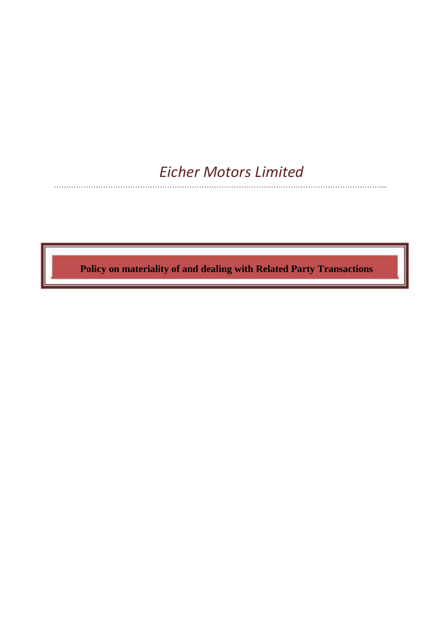# *Eicher Motors Limited*

……………………………………………………………………………………………………………………....

 **Policy on materiality of and dealing with Related Party Transactions**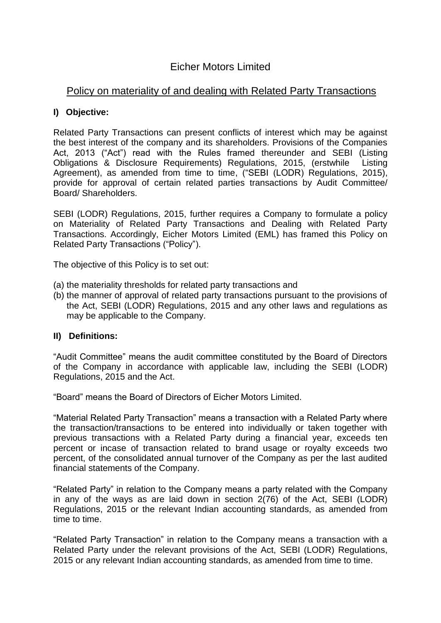## Eicher Motors Limited

## Policy on materiality of and dealing with Related Party Transactions

### **I) Objective:**

Related Party Transactions can present conflicts of interest which may be against the best interest of the company and its shareholders. Provisions of the Companies Act, 2013 ("Act") read with the Rules framed thereunder and SEBI (Listing Obligations & Disclosure Requirements) Regulations, 2015, (erstwhile Listing Agreement), as amended from time to time, ("SEBI (LODR) Regulations, 2015), provide for approval of certain related parties transactions by Audit Committee/ Board/ Shareholders.

SEBI (LODR) Regulations, 2015, further requires a Company to formulate a policy on Materiality of Related Party Transactions and Dealing with Related Party Transactions. Accordingly, Eicher Motors Limited (EML) has framed this Policy on Related Party Transactions ("Policy").

The objective of this Policy is to set out:

- (a) the materiality thresholds for related party transactions and
- (b) the manner of approval of related party transactions pursuant to the provisions of the Act, SEBI (LODR) Regulations, 2015 and any other laws and regulations as may be applicable to the Company.

#### **II) Definitions:**

"Audit Committee" means the audit committee constituted by the Board of Directors of the Company in accordance with applicable law, including the SEBI (LODR) Regulations, 2015 and the Act.

"Board" means the Board of Directors of Eicher Motors Limited.

"Material Related Party Transaction" means a transaction with a Related Party where the transaction/transactions to be entered into individually or taken together with previous transactions with a Related Party during a financial year, exceeds ten percent or incase of transaction related to brand usage or royalty exceeds two percent, of the consolidated annual turnover of the Company as per the last audited financial statements of the Company.

"Related Party" in relation to the Company means a party related with the Company in any of the ways as are laid down in section 2(76) of the Act, SEBI (LODR) Regulations, 2015 or the relevant Indian accounting standards, as amended from time to time.

"Related Party Transaction" in relation to the Company means a transaction with a Related Party under the relevant provisions of the Act, SEBI (LODR) Regulations, 2015 or any relevant Indian accounting standards, as amended from time to time.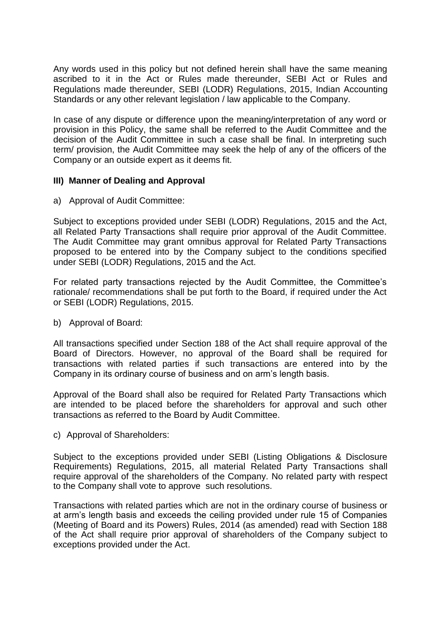Any words used in this policy but not defined herein shall have the same meaning ascribed to it in the Act or Rules made thereunder, SEBI Act or Rules and Regulations made thereunder, SEBI (LODR) Regulations, 2015, Indian Accounting Standards or any other relevant legislation / law applicable to the Company.

In case of any dispute or difference upon the meaning/interpretation of any word or provision in this Policy, the same shall be referred to the Audit Committee and the decision of the Audit Committee in such a case shall be final. In interpreting such term/ provision, the Audit Committee may seek the help of any of the officers of the Company or an outside expert as it deems fit.

#### **III) Manner of Dealing and Approval**

a) Approval of Audit Committee:

Subject to exceptions provided under SEBI (LODR) Regulations, 2015 and the Act, all Related Party Transactions shall require prior approval of the Audit Committee. The Audit Committee may grant omnibus approval for Related Party Transactions proposed to be entered into by the Company subject to the conditions specified under SEBI (LODR) Regulations, 2015 and the Act.

For related party transactions rejected by the Audit Committee, the Committee's rationale/ recommendations shall be put forth to the Board, if required under the Act or SEBI (LODR) Regulations, 2015.

b) Approval of Board:

All transactions specified under Section 188 of the Act shall require approval of the Board of Directors. However, no approval of the Board shall be required for transactions with related parties if such transactions are entered into by the Company in its ordinary course of business and on arm's length basis.

Approval of the Board shall also be required for Related Party Transactions which are intended to be placed before the shareholders for approval and such other transactions as referred to the Board by Audit Committee.

c) Approval of Shareholders:

Subject to the exceptions provided under SEBI (Listing Obligations & Disclosure Requirements) Regulations, 2015, all material Related Party Transactions shall require approval of the shareholders of the Company. No related party with respect to the Company shall vote to approve such resolutions.

Transactions with related parties which are not in the ordinary course of business or at arm's length basis and exceeds the ceiling provided under rule 15 of Companies (Meeting of Board and its Powers) Rules, 2014 (as amended) read with Section 188 of the Act shall require prior approval of shareholders of the Company subject to exceptions provided under the Act.